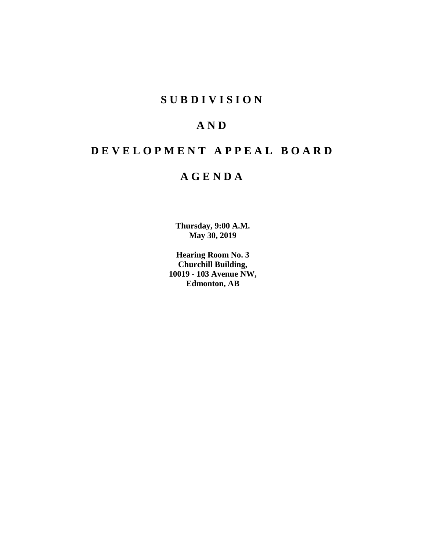# **SUBDIVISION**

# **AND**

# **DEVELOPMENT APPEAL BOARD**

# **AGENDA**

**Thursday, 9:00 A.M. May 30, 2019**

**Hearing Room No. 3 Churchill Building, 10019 - 103 Avenue NW, Edmonton, AB**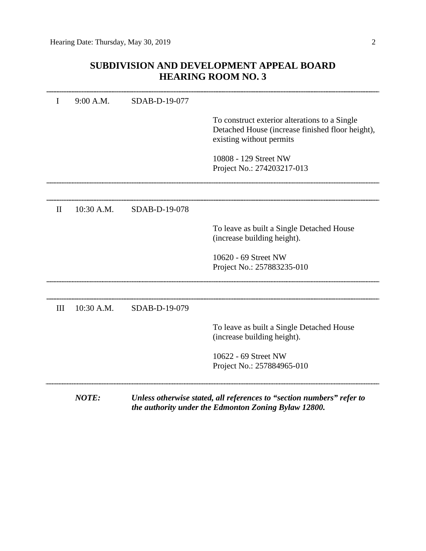# **SUBDIVISION AND DEVELOPMENT APPEAL BOARD HEARING ROOM NO. 3**

| I            | 9:00 A.M.    | SDAB-D-19-077 |                                                                                                                               |
|--------------|--------------|---------------|-------------------------------------------------------------------------------------------------------------------------------|
|              |              |               | To construct exterior alterations to a Single<br>Detached House (increase finished floor height),<br>existing without permits |
|              |              |               | 10808 - 129 Street NW<br>Project No.: 274203217-013                                                                           |
|              |              |               |                                                                                                                               |
| $\mathbf{I}$ | 10:30 A.M.   | SDAB-D-19-078 |                                                                                                                               |
|              |              |               | To leave as built a Single Detached House<br>(increase building height).                                                      |
|              |              |               | 10620 - 69 Street NW<br>Project No.: 257883235-010                                                                            |
|              |              |               |                                                                                                                               |
| III          | 10:30 A.M.   | SDAB-D-19-079 |                                                                                                                               |
|              |              |               | To leave as built a Single Detached House<br>(increase building height).                                                      |
|              |              |               | 10622 - 69 Street NW<br>Project No.: 257884965-010                                                                            |
|              | <b>NOTE:</b> |               | Unless otherwise stated, all references to "section numbers" refer to<br>the authority under the Edmonton Zoning Bylaw 12800. |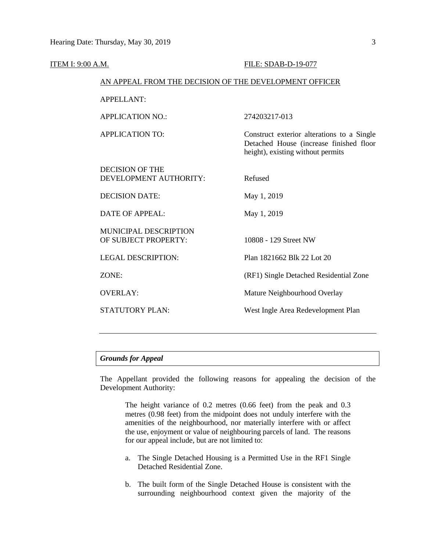| <b>ITEM I: 9:00 A.M.</b> |                                                        | FILE: SDAB-D-19-077                                                                                                        |
|--------------------------|--------------------------------------------------------|----------------------------------------------------------------------------------------------------------------------------|
|                          | AN APPEAL FROM THE DECISION OF THE DEVELOPMENT OFFICER |                                                                                                                            |
|                          | <b>APPELLANT:</b>                                      |                                                                                                                            |
|                          | <b>APPLICATION NO.:</b>                                | 274203217-013                                                                                                              |
|                          | <b>APPLICATION TO:</b>                                 | Construct exterior alterations to a Single<br>Detached House (increase finished floor<br>height), existing without permits |
|                          | <b>DECISION OF THE</b><br>DEVELOPMENT AUTHORITY:       | Refused                                                                                                                    |
|                          | <b>DECISION DATE:</b>                                  | May 1, 2019                                                                                                                |
|                          | <b>DATE OF APPEAL:</b>                                 | May 1, 2019                                                                                                                |
|                          | <b>MUNICIPAL DESCRIPTION</b><br>OF SUBJECT PROPERTY:   | 10808 - 129 Street NW                                                                                                      |
|                          | <b>LEGAL DESCRIPTION:</b>                              | Plan 1821662 Blk 22 Lot 20                                                                                                 |
|                          | ZONE:                                                  | (RF1) Single Detached Residential Zone                                                                                     |
|                          | <b>OVERLAY:</b>                                        | Mature Neighbourhood Overlay                                                                                               |
|                          | <b>STATUTORY PLAN:</b>                                 | West Ingle Area Redevelopment Plan                                                                                         |
|                          |                                                        |                                                                                                                            |

### *Grounds for Appeal*

The Appellant provided the following reasons for appealing the decision of the Development Authority:

The height variance of 0.2 metres (0.66 feet) from the peak and 0.3 metres (0.98 feet) from the midpoint does not unduly interfere with the amenities of the neighbourhood, nor materially interfere with or affect the use, enjoyment or value of neighbouring parcels of land. The reasons for our appeal include, but are not limited to:

- a. The Single Detached Housing is a Permitted Use in the RF1 Single Detached Residential Zone.
- b. The built form of the Single Detached House is consistent with the surrounding neighbourhood context given the majority of the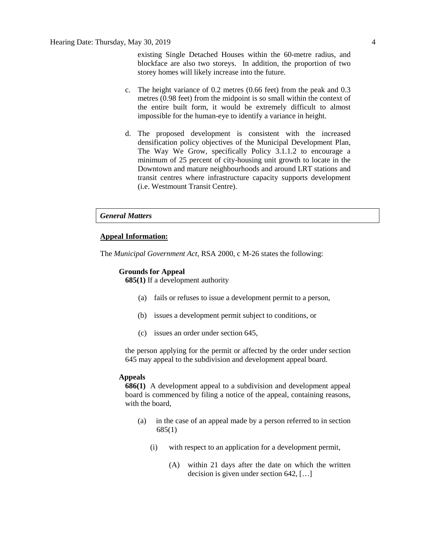existing Single Detached Houses within the 60-metre radius, and blockface are also two storeys. In addition, the proportion of two storey homes will likely increase into the future.

- c. The height variance of 0.2 metres (0.66 feet) from the peak and 0.3 metres (0.98 feet) from the midpoint is so small within the context of the entire built form, it would be extremely difficult to almost impossible for the human-eye to identify a variance in height.
- d. The proposed development is consistent with the increased densification policy objectives of the Municipal Development Plan, The Way We Grow, specifically Policy 3.1.1.2 to encourage a minimum of 25 percent of city-housing unit growth to locate in the Downtown and mature neighbourhoods and around LRT stations and transit centres where infrastructure capacity supports development (i.e. Westmount Transit Centre).

## *General Matters*

#### **Appeal Information:**

The *Municipal Government Act*, RSA 2000, c M-26 states the following:

#### **Grounds for Appeal**

**685(1)** If a development authority

- (a) fails or refuses to issue a development permit to a person,
- (b) issues a development permit subject to conditions, or
- (c) issues an order under section 645,

the person applying for the permit or affected by the order under section 645 may appeal to the subdivision and development appeal board.

#### **Appeals**

**686(1)** A development appeal to a subdivision and development appeal board is commenced by filing a notice of the appeal, containing reasons, with the board,

- (a) in the case of an appeal made by a person referred to in section 685(1)
	- (i) with respect to an application for a development permit,
		- (A) within 21 days after the date on which the written decision is given under section 642, […]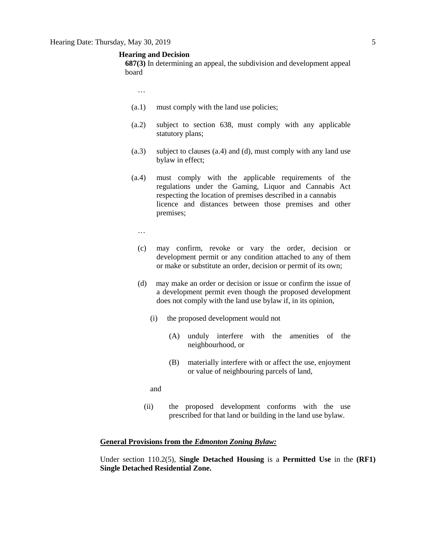#### **Hearing and Decision**

**687(3)** In determining an appeal, the subdivision and development appeal board

- …
- (a.1) must comply with the land use policies;
- (a.2) subject to section 638, must comply with any applicable statutory plans;
- (a.3) subject to clauses (a.4) and (d), must comply with any land use bylaw in effect;
- (a.4) must comply with the applicable requirements of the regulations under the Gaming, Liquor and Cannabis Act respecting the location of premises described in a cannabis licence and distances between those premises and other premises;
	- …
	- (c) may confirm, revoke or vary the order, decision or development permit or any condition attached to any of them or make or substitute an order, decision or permit of its own;
	- (d) may make an order or decision or issue or confirm the issue of a development permit even though the proposed development does not comply with the land use bylaw if, in its opinion,
		- (i) the proposed development would not
			- (A) unduly interfere with the amenities of the neighbourhood, or
			- (B) materially interfere with or affect the use, enjoyment or value of neighbouring parcels of land,
		- and
		- (ii) the proposed development conforms with the use prescribed for that land or building in the land use bylaw.

#### **General Provisions from the** *Edmonton Zoning Bylaw:*

Under section 110.2(5), **Single Detached Housing** is a **Permitted Use** in the **(RF1) Single Detached Residential Zone.**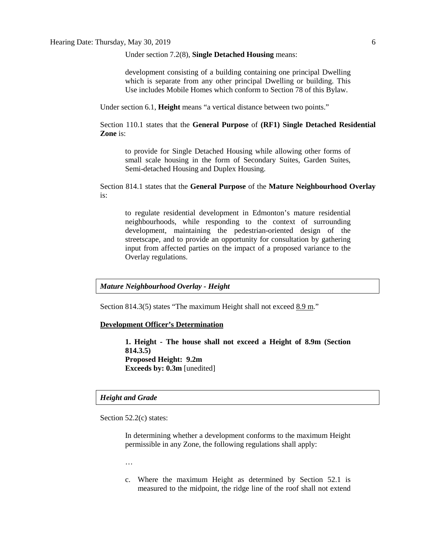Under section 7.2(8), **Single Detached Housing** means:

development consisting of a building containing one principal Dwelling which is separate from any other principal Dwelling or building. This Use includes Mobile Homes which conform to Section 78 of this Bylaw.

Under section 6.1, **Height** means "a vertical distance between two points."

Section 110.1 states that the **General Purpose** of **(RF1) Single Detached Residential Zone** is:

to provide for Single Detached Housing while allowing other forms of small scale housing in the form of Secondary Suites, Garden Suites, Semi-detached Housing and Duplex Housing.

Section 814.1 states that the **General Purpose** of the **Mature Neighbourhood Overlay** is:

to regulate residential development in Edmonton's mature residential neighbourhoods, while responding to the context of surrounding development, maintaining the pedestrian-oriented design of the streetscape, and to provide an opportunity for consultation by gathering input from affected parties on the impact of a proposed variance to the Overlay regulations.

*Mature Neighbourhood Overlay - Height*

Section 814.3(5) states "The maximum Height shall not exceed 8.9 m."

#### **Development Officer's Determination**

**1. Height - The house shall not exceed a Height of 8.9m (Section 814.3.5) Proposed Height: 9.2m Exceeds by: 0.3m** [unedited]

#### *Height and Grade*

Section 52.2(c) states:

In determining whether a development conforms to the maximum Height permissible in any Zone, the following regulations shall apply:

…

c. Where the maximum Height as determined by Section 52.1 is measured to the midpoint, the ridge line of the roof shall not extend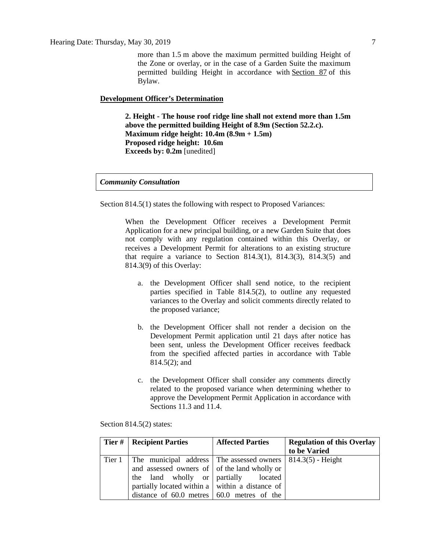more than [1.5](javascript:void(0);) m above the maximum permitted building Height of the Zone or overlay, or in the case of a Garden Suite the maximum permitted building Height in accordance with [Section 87](http://webdocs.edmonton.ca/InfraPlan/zoningbylaw/ZoningBylaw/Part1/Special_Land/87_Garage_and_Garden_Suites.htm) of this Bylaw.

#### **Development Officer's Determination**

**2. Height - The house roof ridge line shall not extend more than 1.5m above the permitted building Height of 8.9m (Section 52.2.c). Maximum ridge height: 10.4m (8.9m + 1.5m) Proposed ridge height: 10.6m Exceeds by: 0.2m** [unedited]

*Community Consultation*

Section 814.5(1) states the following with respect to Proposed Variances:

When the Development Officer receives a Development Permit Application for a new principal building, or a new Garden Suite that does not comply with any regulation contained within this Overlay, or receives a Development Permit for alterations to an existing structure that require a variance to Section 814.3(1), 814.3(3), 814.3(5) and 814.3(9) of this Overlay:

- a. the Development Officer shall send notice, to the recipient parties specified in Table 814.5(2), to outline any requested variances to the Overlay and solicit comments directly related to the proposed variance;
- b. the Development Officer shall not render a decision on the Development Permit application until 21 days after notice has been sent, unless the Development Officer receives feedback from the specified affected parties in accordance with Table 814.5(2); and
- c. the Development Officer shall consider any comments directly related to the proposed variance when determining whether to approve the Development Permit Application in accordance with Sections 11.3 and 11.4.

Section 814.5(2) states:

| <b>Tier #   Recipient Parties</b>                                              | <b>Affected Parties</b> | <b>Regulation of this Overlay</b> |
|--------------------------------------------------------------------------------|-------------------------|-----------------------------------|
|                                                                                |                         | to be Varied                      |
| Tier 1   The municipal address   The assessed owners $\vert$ 814.3(5) - Height |                         |                                   |
| and assessed owners of of the land wholly or                                   |                         |                                   |
| the land wholly or partially located                                           |                         |                                   |
| partially located within a $\vert$ within a distance of $\vert$                |                         |                                   |
| distance of $60.0$ metres $\vert 60.0$ metres of the                           |                         |                                   |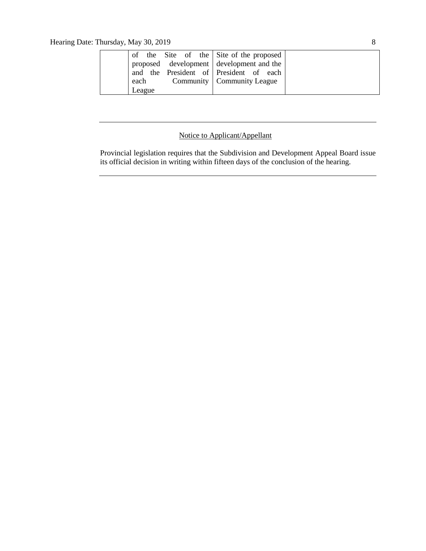Hearing Date: Thursday, May 30, 2019 8

|        |  |  | of the Site of the Site of the proposed  |  |
|--------|--|--|------------------------------------------|--|
|        |  |  | proposed development development and the |  |
|        |  |  | and the President of President of each   |  |
| each   |  |  | Community   Community League             |  |
| League |  |  |                                          |  |

# Notice to Applicant/Appellant

Provincial legislation requires that the Subdivision and Development Appeal Board issue its official decision in writing within fifteen days of the conclusion of the hearing.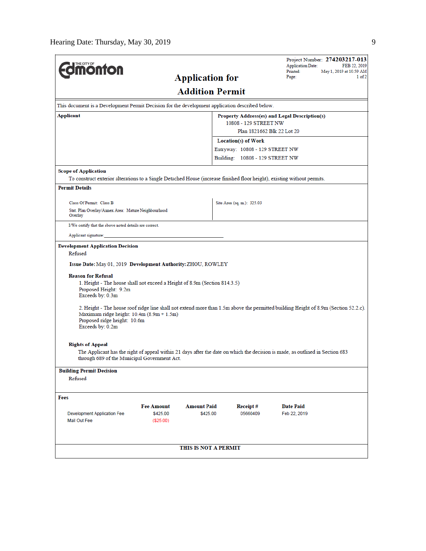|                                                                                                                                                                               |                        |                                 | <b>Application Date:</b>                      | Project Number: 274203217-013<br>FEB 22, 2019 |
|-------------------------------------------------------------------------------------------------------------------------------------------------------------------------------|------------------------|---------------------------------|-----------------------------------------------|-----------------------------------------------|
| <b>monton</b>                                                                                                                                                                 | <b>Application for</b> |                                 | Printed:<br>Page:                             | May 1, 2019 at 10:59 AM<br>1 of 2             |
|                                                                                                                                                                               |                        |                                 |                                               |                                               |
|                                                                                                                                                                               | <b>Addition Permit</b> |                                 |                                               |                                               |
| This document is a Development Permit Decision for the development application described below.                                                                               |                        |                                 |                                               |                                               |
| Applicant                                                                                                                                                                     |                        |                                 | Property Address(es) and Legal Description(s) |                                               |
|                                                                                                                                                                               |                        | 10808 - 129 STREET NW           | Plan 1821662 Blk 22 Lot 20                    |                                               |
|                                                                                                                                                                               |                        | Location(s) of Work             |                                               |                                               |
|                                                                                                                                                                               |                        | Entryway: 10808 - 129 STREET NW |                                               |                                               |
|                                                                                                                                                                               |                        | Building: 10808 - 129 STREET NW |                                               |                                               |
| <b>Scope of Application</b>                                                                                                                                                   |                        |                                 |                                               |                                               |
| To construct exterior alterations to a Single Detached House (increase finished floor height), existing without permits.                                                      |                        |                                 |                                               |                                               |
| <b>Permit Details</b>                                                                                                                                                         |                        |                                 |                                               |                                               |
| Class Of Permit: Class B                                                                                                                                                      |                        | Site Area (sq. m.): 325.03      |                                               |                                               |
| Stat. Plan Overlay/Annex Area: Mature Neighbourhood<br>Overlay                                                                                                                |                        |                                 |                                               |                                               |
| I/We certify that the above noted details are correct.                                                                                                                        |                        |                                 |                                               |                                               |
| Applicant signature:                                                                                                                                                          |                        |                                 |                                               |                                               |
| <b>Development Application Decision</b>                                                                                                                                       |                        |                                 |                                               |                                               |
| Refused                                                                                                                                                                       |                        |                                 |                                               |                                               |
| Issue Date: May 01, 2019 Development Authority: ZHOU, ROWLEY                                                                                                                  |                        |                                 |                                               |                                               |
| <b>Reason for Refusal</b>                                                                                                                                                     |                        |                                 |                                               |                                               |
| 1. Height - The house shall not exceed a Height of 8.9m (Section 814.3.5)<br>Proposed Height: 9.2m<br>Exceeds by: 0.3m                                                        |                        |                                 |                                               |                                               |
| 2. Height - The house roof ridge line shall not extend more than 1.5m above the permitted building Height of 8.9m (Section 52.2.c).                                           |                        |                                 |                                               |                                               |
| Maximum ridge height: 10.4m (8.9m + 1.5m)                                                                                                                                     |                        |                                 |                                               |                                               |
| Proposed ridge height: 10.6m<br>Exceeds by: 0.2m                                                                                                                              |                        |                                 |                                               |                                               |
|                                                                                                                                                                               |                        |                                 |                                               |                                               |
| <b>Rights of Appeal</b>                                                                                                                                                       |                        |                                 |                                               |                                               |
| The Applicant has the right of appeal within 21 days after the date on which the decision is made, as outlined in Section 683<br>through 689 of the Municipal Government Act. |                        |                                 |                                               |                                               |
| <b>Building Permit Decision</b>                                                                                                                                               |                        |                                 |                                               |                                               |
| Refused                                                                                                                                                                       |                        |                                 |                                               |                                               |
| Fees                                                                                                                                                                          |                        |                                 |                                               |                                               |
| <b>Fee Amount</b>                                                                                                                                                             | <b>Amount Paid</b>     | Receipt#                        | <b>Date Paid</b>                              |                                               |
| <b>Development Application Fee</b><br>\$425.00                                                                                                                                | \$425.00               | 05660409                        | Feb 22, 2019                                  |                                               |
| Mail Out Fee<br>(\$25.00)                                                                                                                                                     |                        |                                 |                                               |                                               |
|                                                                                                                                                                               |                        |                                 |                                               |                                               |
|                                                                                                                                                                               | THIS IS NOT A PERMIT   |                                 |                                               |                                               |
|                                                                                                                                                                               |                        |                                 |                                               |                                               |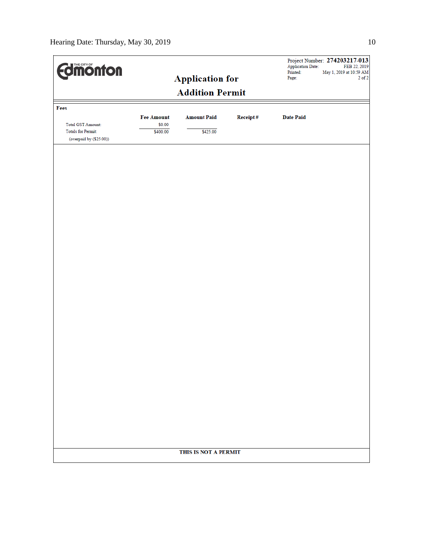| <b>Edinonton</b>                              |                             |                        |          | <b>Application Date:</b><br>Printed: | Project Number: 274203217-013<br>FEB 22, 2019<br>May 1, 2019 at 10:59 AM |
|-----------------------------------------------|-----------------------------|------------------------|----------|--------------------------------------|--------------------------------------------------------------------------|
|                                               |                             | <b>Application for</b> |          | Page:                                | $2$ of $2$                                                               |
|                                               |                             | <b>Addition Permit</b> |          |                                      |                                                                          |
| Fees                                          |                             |                        |          |                                      |                                                                          |
| <b>Total GST Amount:</b>                      | <b>Fee Amount</b><br>\$0.00 | <b>Amount Paid</b>     | Receipt# | <b>Date Paid</b>                     |                                                                          |
| Totals for Permit:<br>(overpaid by (\$25.00)) | \$400.00                    | \$425.00               |          |                                      |                                                                          |
|                                               |                             |                        |          |                                      |                                                                          |
|                                               |                             |                        |          |                                      |                                                                          |
|                                               |                             |                        |          |                                      |                                                                          |
|                                               |                             |                        |          |                                      |                                                                          |
|                                               |                             |                        |          |                                      |                                                                          |
|                                               |                             |                        |          |                                      |                                                                          |
|                                               |                             |                        |          |                                      |                                                                          |
|                                               |                             |                        |          |                                      |                                                                          |
|                                               |                             |                        |          |                                      |                                                                          |
|                                               |                             |                        |          |                                      |                                                                          |
|                                               |                             |                        |          |                                      |                                                                          |
|                                               |                             |                        |          |                                      |                                                                          |
|                                               |                             |                        |          |                                      |                                                                          |
|                                               |                             |                        |          |                                      |                                                                          |
|                                               |                             | THIS IS NOT A PERMIT   |          |                                      |                                                                          |
|                                               |                             |                        |          |                                      |                                                                          |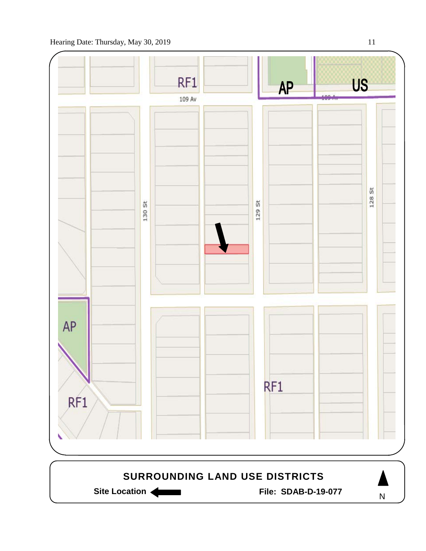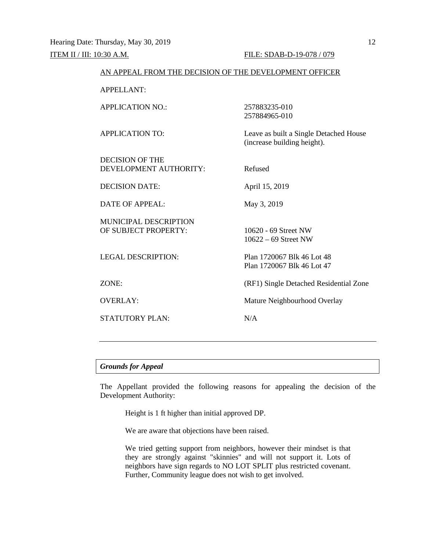| AN APPEAL FROM THE DECISION OF THE DEVELOPMENT OFFICER |                                                                       |
|--------------------------------------------------------|-----------------------------------------------------------------------|
| <b>APPELLANT:</b>                                      |                                                                       |
| <b>APPLICATION NO.:</b>                                | 257883235-010<br>257884965-010                                        |
| <b>APPLICATION TO:</b>                                 | Leave as built a Single Detached House<br>(increase building height). |
| <b>DECISION OF THE</b><br>DEVELOPMENT AUTHORITY:       | Refused                                                               |
| <b>DECISION DATE:</b>                                  | April 15, 2019                                                        |
| <b>DATE OF APPEAL:</b>                                 | May 3, 2019                                                           |
| <b>MUNICIPAL DESCRIPTION</b><br>OF SUBJECT PROPERTY:   | 10620 - 69 Street NW<br>$10622 - 69$ Street NW                        |
| <b>LEGAL DESCRIPTION:</b>                              | Plan 1720067 Blk 46 Lot 48<br>Plan 1720067 Blk 46 Lot 47              |
| ZONE:                                                  | (RF1) Single Detached Residential Zone                                |
| <b>OVERLAY:</b>                                        | Mature Neighbourhood Overlay                                          |
| <b>STATUTORY PLAN:</b>                                 | N/A                                                                   |

## *Grounds for Appeal*

The Appellant provided the following reasons for appealing the decision of the Development Authority:

Height is 1 ft higher than initial approved DP.

We are aware that objections have been raised.

We tried getting support from neighbors, however their mindset is that they are strongly against "skinnies" and will not support it. Lots of neighbors have sign regards to NO LOT SPLIT plus restricted covenant. Further, Community league does not wish to get involved.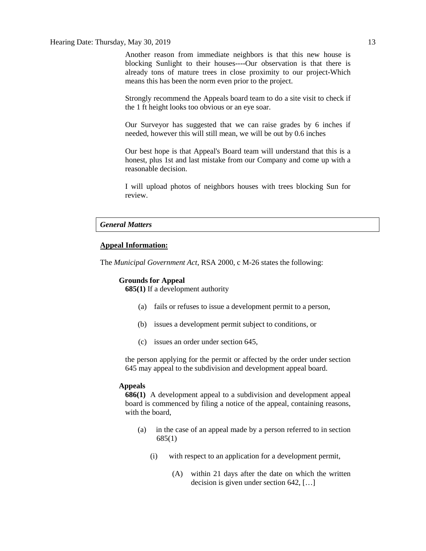#### Hearing Date: Thursday, May 30, 2019 13

Another reason from immediate neighbors is that this new house is blocking Sunlight to their houses----Our observation is that there is already tons of mature trees in close proximity to our project-Which means this has been the norm even prior to the project.

Strongly recommend the Appeals board team to do a site visit to check if the 1 ft height looks too obvious or an eye soar.

Our Surveyor has suggested that we can raise grades by 6 inches if needed, however this will still mean, we will be out by 0.6 inches

Our best hope is that Appeal's Board team will understand that this is a honest, plus 1st and last mistake from our Company and come up with a reasonable decision.

I will upload photos of neighbors houses with trees blocking Sun for review.

#### *General Matters*

### **Appeal Information:**

The *Municipal Government Act*, RSA 2000, c M-26 states the following:

#### **Grounds for Appeal**

**685(1)** If a development authority

- (a) fails or refuses to issue a development permit to a person,
- (b) issues a development permit subject to conditions, or
- (c) issues an order under section 645,

the person applying for the permit or affected by the order under section 645 may appeal to the subdivision and development appeal board.

#### **Appeals**

**686(1)** A development appeal to a subdivision and development appeal board is commenced by filing a notice of the appeal, containing reasons, with the board,

- (a) in the case of an appeal made by a person referred to in section 685(1)
	- (i) with respect to an application for a development permit,
		- (A) within 21 days after the date on which the written decision is given under section 642, […]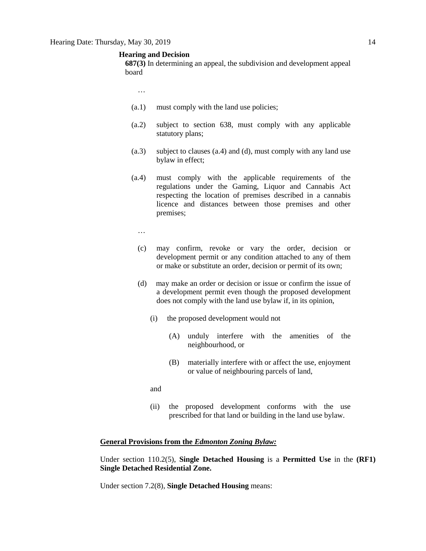#### **Hearing and Decision**

**687(3)** In determining an appeal, the subdivision and development appeal board

- …
- (a.1) must comply with the land use policies;
- (a.2) subject to section 638, must comply with any applicable statutory plans;
- (a.3) subject to clauses (a.4) and (d), must comply with any land use bylaw in effect;
- (a.4) must comply with the applicable requirements of the regulations under the Gaming, Liquor and Cannabis Act respecting the location of premises described in a cannabis licence and distances between those premises and other premises;
	- …
	- (c) may confirm, revoke or vary the order, decision or development permit or any condition attached to any of them or make or substitute an order, decision or permit of its own;
	- (d) may make an order or decision or issue or confirm the issue of a development permit even though the proposed development does not comply with the land use bylaw if, in its opinion,
		- (i) the proposed development would not
			- (A) unduly interfere with the amenities of the neighbourhood, or
			- (B) materially interfere with or affect the use, enjoyment or value of neighbouring parcels of land,
		- and
		- (ii) the proposed development conforms with the use prescribed for that land or building in the land use bylaw.

#### **General Provisions from the** *Edmonton Zoning Bylaw:*

Under section 110.2(5), **Single Detached Housing** is a **Permitted Use** in the **(RF1) Single Detached Residential Zone.** 

Under section 7.2(8), **Single Detached Housing** means: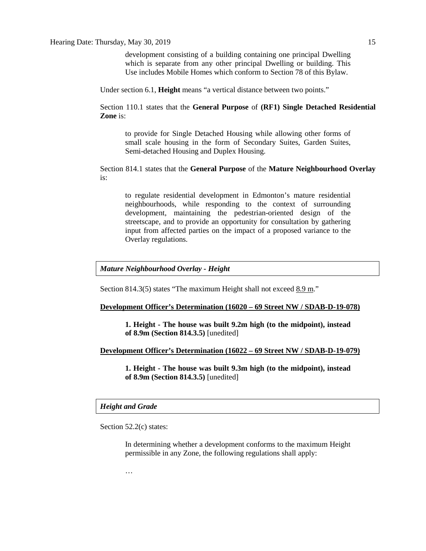development consisting of a building containing one principal Dwelling which is separate from any other principal Dwelling or building. This Use includes Mobile Homes which conform to Section 78 of this Bylaw.

Under section 6.1, **Height** means "a vertical distance between two points."

Section 110.1 states that the **General Purpose** of **(RF1) Single Detached Residential Zone** is:

to provide for Single Detached Housing while allowing other forms of small scale housing in the form of Secondary Suites, Garden Suites, Semi-detached Housing and Duplex Housing.

Section 814.1 states that the **General Purpose** of the **Mature Neighbourhood Overlay** is:

to regulate residential development in Edmonton's mature residential neighbourhoods, while responding to the context of surrounding development, maintaining the pedestrian-oriented design of the streetscape, and to provide an opportunity for consultation by gathering input from affected parties on the impact of a proposed variance to the Overlay regulations.

### *Mature Neighbourhood Overlay - Height*

Section 814.3(5) states "The maximum Height shall not exceed  $8.9 \text{ m}$ ."

#### **Development Officer's Determination (16020 – 69 Street NW / SDAB-D-19-078)**

**1. Height - The house was built 9.2m high (to the midpoint), instead of 8.9m (Section 814.3.5)** [unedited]

#### **Development Officer's Determination (16022 – 69 Street NW / SDAB-D-19-079)**

**1. Height - The house was built 9.3m high (to the midpoint), instead of 8.9m (Section 814.3.5)** [unedited]

## *Height and Grade*

Section 52.2(c) states:

In determining whether a development conforms to the maximum Height permissible in any Zone, the following regulations shall apply:

…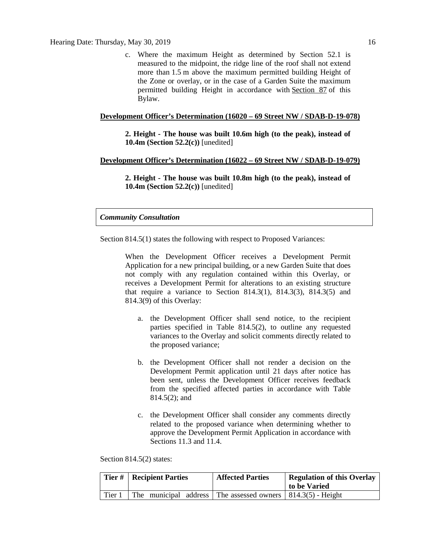c. Where the maximum Height as determined by Section 52.1 is measured to the midpoint, the ridge line of the roof shall not extend more than [1.5](javascript:void(0);) m above the maximum permitted building Height of the Zone or overlay, or in the case of a Garden Suite the maximum permitted building Height in accordance with [Section 87](http://webdocs.edmonton.ca/InfraPlan/zoningbylaw/ZoningBylaw/Part1/Special_Land/87_Garage_and_Garden_Suites.htm) of this Bylaw.

#### **Development Officer's Determination (16020 – 69 Street NW / SDAB-D-19-078)**

**2. Height - The house was built 10.6m high (to the peak), instead of 10.4m (Section 52.2(c))** [unedited]

### **Development Officer's Determination (16022 – 69 Street NW / SDAB-D-19-079)**

**2. Height - The house was built 10.8m high (to the peak), instead of 10.4m (Section 52.2(c))** [unedited]

#### *Community Consultation*

Section 814.5(1) states the following with respect to Proposed Variances:

When the Development Officer receives a Development Permit Application for a new principal building, or a new Garden Suite that does not comply with any regulation contained within this Overlay, or receives a Development Permit for alterations to an existing structure that require a variance to Section  $814.3(1)$ ,  $814.3(3)$ ,  $814.3(5)$  and 814.3(9) of this Overlay:

- a. the Development Officer shall send notice, to the recipient parties specified in Table 814.5(2), to outline any requested variances to the Overlay and solicit comments directly related to the proposed variance;
- b. the Development Officer shall not render a decision on the Development Permit application until 21 days after notice has been sent, unless the Development Officer receives feedback from the specified affected parties in accordance with Table 814.5(2); and
- c. the Development Officer shall consider any comments directly related to the proposed variance when determining whether to approve the Development Permit Application in accordance with Sections 11.3 and 11.4.

Section 814.5(2) states:

| Tier#  | <b>Recipient Parties</b>                                            | <b>Affected Parties</b> | <b>Regulation of this Overlay</b><br>to be Varied |
|--------|---------------------------------------------------------------------|-------------------------|---------------------------------------------------|
| Tier 1 | The municipal address The assessed owners $\vert$ 814.3(5) - Height |                         |                                                   |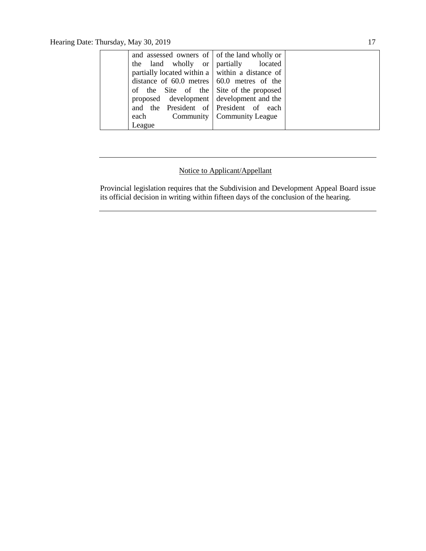| each   |                                                                                                                                                                                                                                                                                                                                                                  |
|--------|------------------------------------------------------------------------------------------------------------------------------------------------------------------------------------------------------------------------------------------------------------------------------------------------------------------------------------------------------------------|
| League |                                                                                                                                                                                                                                                                                                                                                                  |
|        | and assessed owners of of the land wholly or<br>the land wholly or partially located<br>partially located within a within a distance of<br>distance of $60.0$ metres $\vert 60.0$ metres of the<br>of the Site of the Site of the proposed<br>proposed development development and the<br>and the President of President of each<br>Community   Community League |

# Notice to Applicant/Appellant

Provincial legislation requires that the Subdivision and Development Appeal Board issue its official decision in writing within fifteen days of the conclusion of the hearing.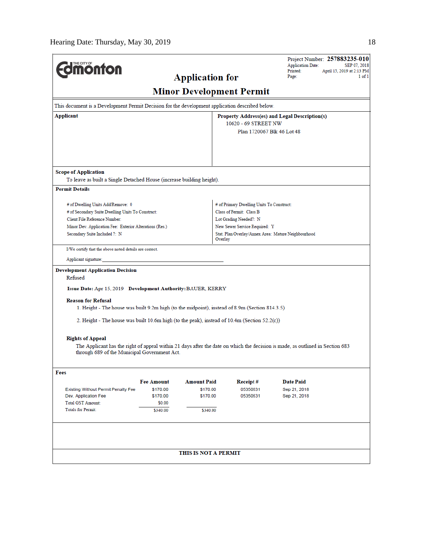| <b>Total GST Amount:</b><br><b>Totals for Permit:</b>                                                                       | \$0.00<br>\$340.00 | \$340.00                        |                                           |                                                                                                                               |
|-----------------------------------------------------------------------------------------------------------------------------|--------------------|---------------------------------|-------------------------------------------|-------------------------------------------------------------------------------------------------------------------------------|
| Dev. Application Fee                                                                                                        | \$170.00           | \$170.00                        | 05350631                                  | Sep 21, 2018                                                                                                                  |
| <b>Existing Without Permit Penalty Fee</b>                                                                                  | \$170.00           | \$170.00                        | 05350631                                  | Sep 21, 2018                                                                                                                  |
|                                                                                                                             | <b>Fee Amount</b>  | <b>Amount Paid</b>              | <b>Receipt#</b>                           | <b>Date Paid</b>                                                                                                              |
| Fees                                                                                                                        |                    |                                 |                                           |                                                                                                                               |
| through 689 of the Municipal Government Act.                                                                                |                    |                                 |                                           |                                                                                                                               |
| <b>Rights of Appeal</b>                                                                                                     |                    |                                 |                                           | The Applicant has the right of appeal within 21 days after the date on which the decision is made, as outlined in Section 683 |
|                                                                                                                             |                    |                                 |                                           |                                                                                                                               |
| 2. Height - The house was built 10.6m high (to the peak), instead of $10.4$ m (Section $52.2(c)$ )                          |                    |                                 |                                           |                                                                                                                               |
| <b>Reason for Refusal</b><br>1. Height - The house was built 9.2m high (to the midpoint), instead of 8.9m (Section 814.3.5) |                    |                                 |                                           |                                                                                                                               |
| Issue Date: Apr 15, 2019 Development Authority: BAUER, KERRY                                                                |                    |                                 |                                           |                                                                                                                               |
| Refused                                                                                                                     |                    |                                 |                                           |                                                                                                                               |
| <b>Development Application Decision</b>                                                                                     |                    |                                 |                                           |                                                                                                                               |
| I/We certify that the above noted details are correct.<br>Applicant signature:                                              |                    |                                 |                                           |                                                                                                                               |
|                                                                                                                             |                    | Overlay                         |                                           |                                                                                                                               |
| Minor Dev. Application Fee: Exterior Alterations (Res.)<br>Secondary Suite Included ?: N                                    |                    |                                 | New Sewer Service Required: Y             | Stat. Plan Overlay/Annex Area: Mature Neighbourhood                                                                           |
| Client File Reference Number:                                                                                               |                    |                                 | Lot Grading Needed?: N                    |                                                                                                                               |
| # of Secondary Suite Dwelling Units To Construct:                                                                           |                    |                                 | Class of Permit: Class B                  |                                                                                                                               |
| # of Dwelling Units Add/Remove: 0                                                                                           |                    |                                 | # of Primary Dwelling Units To Construct: |                                                                                                                               |
|                                                                                                                             |                    |                                 |                                           |                                                                                                                               |
| To leave as built a Single Detached House (increase building height).<br><b>Permit Details</b>                              |                    |                                 |                                           |                                                                                                                               |
| <b>Scope of Application</b>                                                                                                 |                    |                                 |                                           |                                                                                                                               |
|                                                                                                                             |                    |                                 |                                           |                                                                                                                               |
|                                                                                                                             |                    |                                 |                                           |                                                                                                                               |
|                                                                                                                             |                    |                                 | Plan 1720067 Blk 46 Lot 48                |                                                                                                                               |
|                                                                                                                             |                    |                                 | 10620 - 69 STREET NW                      |                                                                                                                               |
| Applicant                                                                                                                   |                    |                                 |                                           | Property Address(es) and Legal Description(s)                                                                                 |
| This document is a Development Permit Decision for the development application described below.                             |                    |                                 |                                           |                                                                                                                               |
|                                                                                                                             |                    | <b>Minor Development Permit</b> |                                           |                                                                                                                               |
|                                                                                                                             |                    | <b>Application for</b>          |                                           | Page:<br>$1$ of $1$                                                                                                           |
| <b>dimonton</b>                                                                                                             |                    |                                 |                                           | <b>Application Date:</b><br>SEP 07, 2018<br>Printed:<br>April 15, 2019 at 2:13 PM                                             |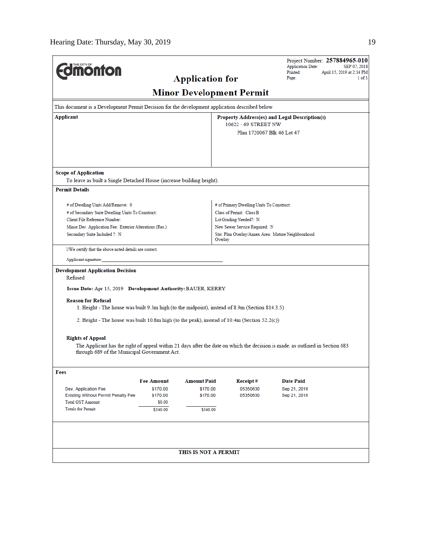| THE CITY OF                                                                                     |                    |                        |                                           | Project Number: 257884965-010<br><b>Application Date:</b>                                                                     | SEP 07, 2018 |
|-------------------------------------------------------------------------------------------------|--------------------|------------------------|-------------------------------------------|-------------------------------------------------------------------------------------------------------------------------------|--------------|
| <b>monton</b>                                                                                   |                    |                        |                                           | Printed:<br>April 15, 2019 at 2:14 PM                                                                                         |              |
|                                                                                                 |                    | <b>Application for</b> |                                           | Page:                                                                                                                         | $1$ of $1$   |
|                                                                                                 |                    |                        | <b>Minor Development Permit</b>           |                                                                                                                               |              |
| This document is a Development Permit Decision for the development application described below. |                    |                        |                                           |                                                                                                                               |              |
| Applicant                                                                                       |                    |                        |                                           | Property Address(es) and Legal Description(s)                                                                                 |              |
|                                                                                                 |                    |                        | 10622 - 69 STREET NW                      |                                                                                                                               |              |
|                                                                                                 |                    |                        |                                           | Plan 1720067 Blk 46 Lot 47                                                                                                    |              |
|                                                                                                 |                    |                        |                                           |                                                                                                                               |              |
|                                                                                                 |                    |                        |                                           |                                                                                                                               |              |
|                                                                                                 |                    |                        |                                           |                                                                                                                               |              |
| <b>Scope of Application</b>                                                                     |                    |                        |                                           |                                                                                                                               |              |
| To leave as built a Single Detached House (increase building height).                           |                    |                        |                                           |                                                                                                                               |              |
| <b>Permit Details</b>                                                                           |                    |                        |                                           |                                                                                                                               |              |
| # of Dwelling Units Add/Remove: 0                                                               |                    |                        | # of Primary Dwelling Units To Construct: |                                                                                                                               |              |
| # of Secondary Suite Dwelling Units To Construct:                                               |                    |                        | Class of Permit: Class B                  |                                                                                                                               |              |
| Client File Reference Number:                                                                   |                    |                        | Lot Grading Needed?: N                    |                                                                                                                               |              |
| Minor Dev. Application Fee: Exterior Alterations (Res.)                                         |                    |                        | New Sewer Service Required: N             |                                                                                                                               |              |
| Secondary Suite Included ?: N                                                                   |                    |                        | Overlay                                   | Stat. Plan Overlay/Annex Area: Mature Neighbourhood                                                                           |              |
| I/We certify that the above noted details are correct.                                          |                    |                        |                                           |                                                                                                                               |              |
| Applicant signature:                                                                            |                    |                        |                                           |                                                                                                                               |              |
| <b>Development Application Decision</b><br>Refused                                              |                    |                        |                                           |                                                                                                                               |              |
| Issue Date: Apr 15, 2019 Development Authority: BAUER, KERRY                                    |                    |                        |                                           |                                                                                                                               |              |
| <b>Reason for Refusal</b>                                                                       |                    |                        |                                           |                                                                                                                               |              |
| 1. Height - The house was built 9.3m high (to the midpoint), instead of 8.9m (Section 814.3.5)  |                    |                        |                                           |                                                                                                                               |              |
| 2. Height - The house was built 10.8m high (to the peak), instead of 10.4m (Section 52.2(c))    |                    |                        |                                           |                                                                                                                               |              |
|                                                                                                 |                    |                        |                                           |                                                                                                                               |              |
| <b>Rights of Appeal</b>                                                                         |                    |                        |                                           |                                                                                                                               |              |
| through 689 of the Municipal Government Act.                                                    |                    |                        |                                           | The Applicant has the right of appeal within 21 days after the date on which the decision is made, as outlined in Section 683 |              |
|                                                                                                 |                    |                        |                                           |                                                                                                                               |              |
| Fees                                                                                            |                    |                        |                                           |                                                                                                                               |              |
|                                                                                                 | <b>Fee Amount</b>  | <b>Amount Paid</b>     | Receipt#                                  | <b>Date Paid</b>                                                                                                              |              |
| Dev. Application Fee                                                                            | \$170.00           | \$170.00               | 05350630                                  | Sep 21, 2018                                                                                                                  |              |
| <b>Existing Without Permit Penalty Fee</b><br><b>Total GST Amount:</b>                          | \$170.00<br>\$0.00 | \$170.00               | 05350630                                  | Sep 21, 2018                                                                                                                  |              |
| <b>Totals for Permit:</b>                                                                       | \$340.00           | \$340.00               |                                           |                                                                                                                               |              |
|                                                                                                 |                    |                        |                                           |                                                                                                                               |              |
|                                                                                                 |                    |                        |                                           |                                                                                                                               |              |
|                                                                                                 |                    |                        |                                           |                                                                                                                               |              |
|                                                                                                 |                    | THIS IS NOT A PERMIT   |                                           |                                                                                                                               |              |
|                                                                                                 |                    |                        |                                           |                                                                                                                               |              |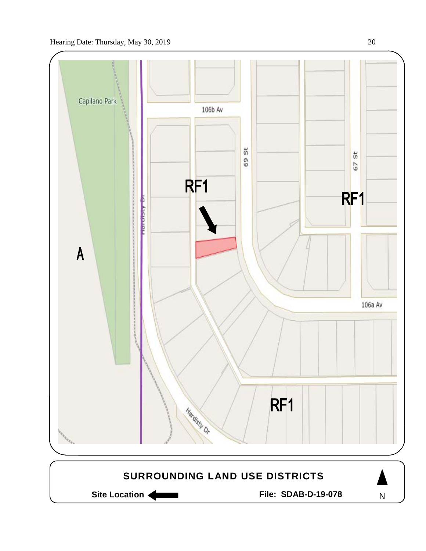